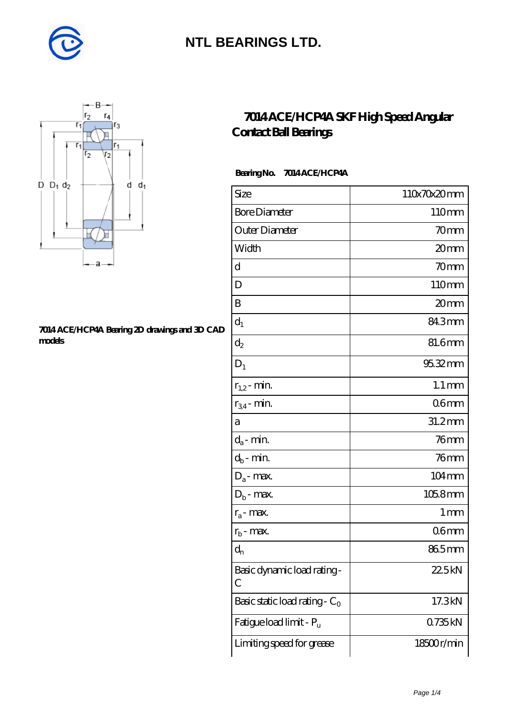



#### **[7014 ACE/HCP4A Bearing 2D drawings and 3D CAD](https://diabetesfriends.net/pic-590840.html) [models](https://diabetesfriends.net/pic-590840.html)**

### **[7014 ACE/HCP4A SKF High Speed Angular](https://diabetesfriends.net/skf-bearing/7014-ace-hcp4a.html) [Contact Ball Bearings](https://diabetesfriends.net/skf-bearing/7014-ace-hcp4a.html)**

#### **Bearing No. 7014 ACE/HCP4A**

| Size                                | 110x70x20mm         |
|-------------------------------------|---------------------|
| <b>Bore Diameter</b>                | 110mm               |
| Outer Diameter                      | 70mm                |
| Width                               | 20mm                |
| d                                   | 70mm                |
| D                                   | 110mm               |
| B                                   | 20mm                |
| $d_1$                               | 84.3mm              |
| $\mathrm{d}_2$                      | 81.6mm              |
| $D_1$                               | 95.32mm             |
| $r_{1,2}$ - min.                    | $1.1 \,\mathrm{mm}$ |
| $r_{34}$ - min.                     | 06 <sub>mm</sub>    |
| а                                   | 31.2mm              |
| $d_a$ - min.                        | 76 <sub>mm</sub>    |
| $d_b$ - min.                        | $76$ mm             |
| $D_a$ - max.                        | 104mm               |
| $D_b$ - max.                        | $1058$ mm           |
| $r_a$ - max.                        | 1 <sub>mm</sub>     |
| $r_{\rm b}$ - max.                  | 06 <sub>mm</sub>    |
| $d_{n}$                             | 865mm               |
| Basic dynamic load rating-<br>С     | 22.5kN              |
| Basic static load rating - $C_0$    | 17.3kN              |
| Fatigue load limit - P <sub>u</sub> | 0735kN              |
| Limiting speed for grease           | 18500r/min          |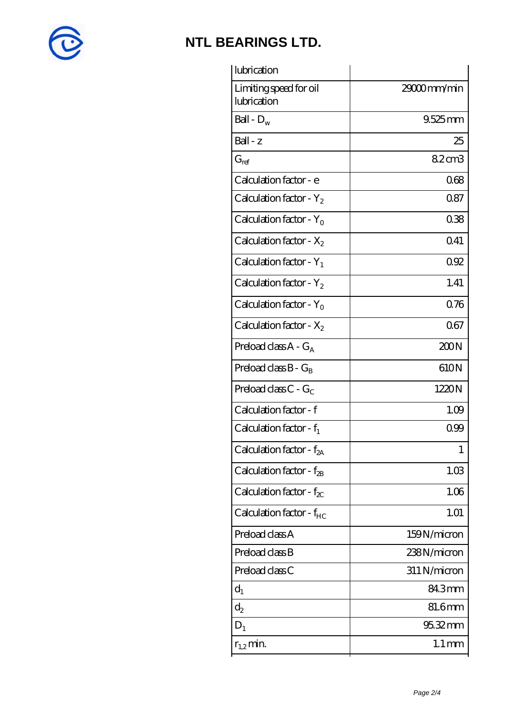

| lubrication                           |                     |
|---------------------------------------|---------------------|
| Limiting speed for oil<br>lubrication | 29000mm/min         |
| Ball - $D_w$                          | $9.525$ mm          |
| Ball - z                              | 25                  |
| $G_{ref}$                             | 8.2cm3              |
| Calculation factor - e                | 068                 |
| Calculation factor - $Y_2$            | 0.87                |
| Calculation factor - $Y_0$            | 038                 |
| Calculation factor - $X_2$            | 041                 |
| Calculation factor - $Y_1$            | 092                 |
| Calculation factor - $Y_2$            | 1.41                |
| Calculation factor - $Y_0$            | 076                 |
| Calculation factor - $X_2$            | 067                 |
| Preload class $A - G_A$               | 200N                |
| Preload class $B - G_B$               | 610N                |
| Preload class $C$ - $G_C$             | 1220N               |
| Calculation factor - f                | 1.09                |
| Calculation factor - $f_1$            | 099                 |
| Calculation factor - f <sub>2A</sub>  | 1                   |
| Calculation factor - $f_{2B}$         | 1.03                |
| Calculation factor - $f_{\chi}$       | 1.06                |
| Calculation factor - $f_{HC}$         | 1.01                |
| Preload class A                       | 159N/micron         |
| Preload class B                       | 238N/micron         |
| Preload class C                       | 311 N/micron        |
| $d_1$                                 | 84.3mm              |
| $d_2$                                 | 81.6mm              |
| $D_1$                                 | 95.32mm             |
| $r_{1,2}$ min.                        | $1.1 \,\mathrm{mm}$ |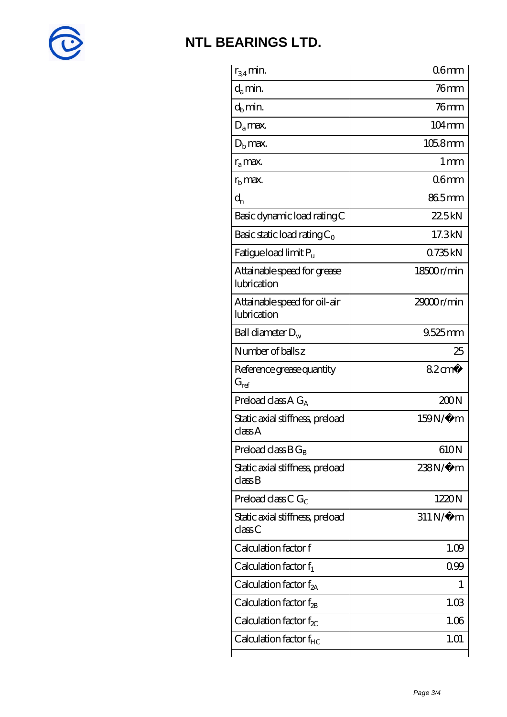

| $r_{34}$ min.                               | 06 <sub>mm</sub>    |
|---------------------------------------------|---------------------|
| $d_a$ min.                                  | $76$ mm             |
| $d_b$ min.                                  | $76$ mm             |
| $D_a$ max.                                  | $104 \,\mathrm{mm}$ |
| $Db$ max.                                   | $1058$ mm           |
| $r_a$ max.                                  | $1 \,\mathrm{mm}$   |
| $rb$ max.                                   | 06 <sub>mm</sub>    |
| $d_{n}$                                     | 865mm               |
| Basic dynamic load rating C                 | 22.5kN              |
| Basic static load rating $C_0$              | 17.3kN              |
| Fatigue load limit Pu                       | 0735kN              |
| Attainable speed for grease<br>lubrication  | 18500r/min          |
| Attainable speed for oil-air<br>lubrication | 29000r/min          |
| Ball diameter $D_w$                         | 9.525mm             |
| Number of balls z                           | 25                  |
| Reference grease quantity<br>$G_{ref}$      | $82 \text{cm}^3$    |
|                                             |                     |
| Preload class A $G_A$                       | 200N                |
| Static axial stiffness, preload<br>classA   | $159N/\mu$ m        |
| Preload class $B G_B$                       | 610N                |
| Static axial stiffness, preload<br>classB   | 238N/μ m            |
| Preload class C $G_C$                       | 1220N               |
| Static axial stiffness, preload<br>classC   | $311 N/\mu$ m       |
| Calculation factor f                        | 1.09                |
| Calculation factor $f_1$                    | 099                 |
| Calculation factor $f_{2A}$                 | 1                   |
| Calculation factor $f_{\rm 2B}$             | 1.03                |
| Calculation factor $f_{\chi}$               | 1.06                |
| Calculation factor $f_{HC}$                 | 1.01                |